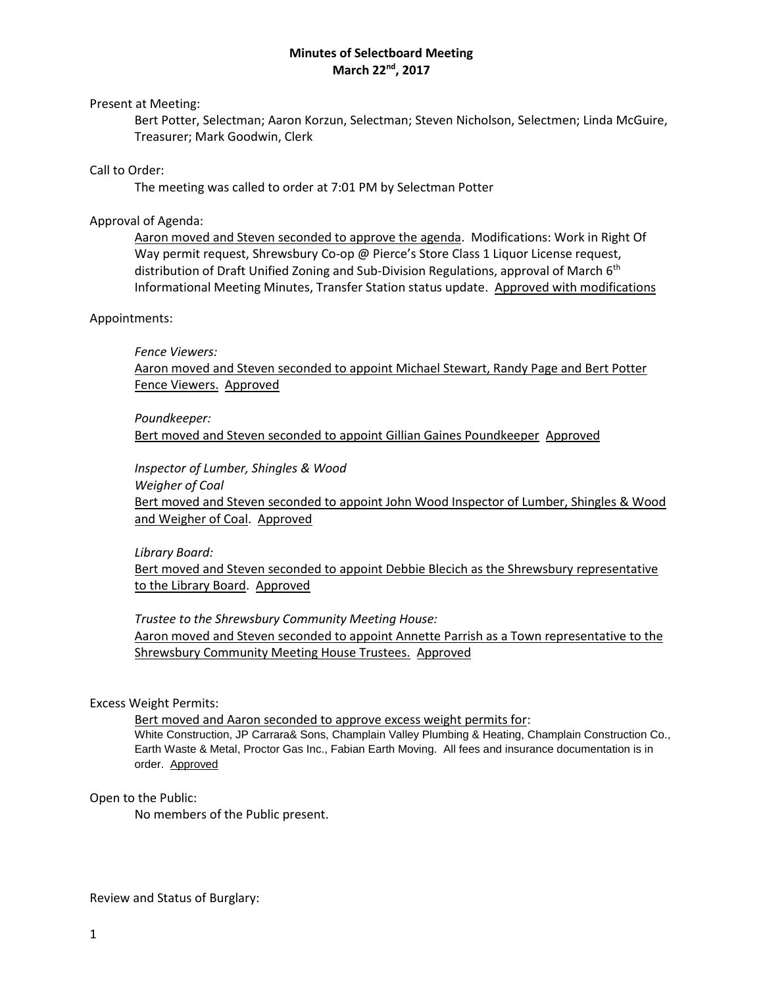## **Minutes of Selectboard Meeting March 22nd, 2017**

## Present at Meeting:

Bert Potter, Selectman; Aaron Korzun, Selectman; Steven Nicholson, Selectmen; Linda McGuire, Treasurer; Mark Goodwin, Clerk

#### Call to Order:

The meeting was called to order at 7:01 PM by Selectman Potter

## Approval of Agenda:

Aaron moved and Steven seconded to approve the agenda. Modifications: Work in Right Of Way permit request, Shrewsbury Co-op @ Pierce's Store Class 1 Liquor License request, distribution of Draft Unified Zoning and Sub-Division Regulations, approval of March 6<sup>th</sup> Informational Meeting Minutes, Transfer Station status update. Approved with modifications

### Appointments:

*Fence Viewers:* Aaron moved and Steven seconded to appoint Michael Stewart, Randy Page and Bert Potter Fence Viewers. Approved

#### *Poundkeeper:*

Bert moved and Steven seconded to appoint Gillian Gaines Poundkeeper Approved

*Inspector of Lumber, Shingles & Wood Weigher of Coal* Bert moved and Steven seconded to appoint John Wood Inspector of Lumber, Shingles & Wood and Weigher of Coal. Approved

#### *Library Board:*

Bert moved and Steven seconded to appoint Debbie Blecich as the Shrewsbury representative to the Library Board. Approved

*Trustee to the Shrewsbury Community Meeting House:* Aaron moved and Steven seconded to appoint Annette Parrish as a Town representative to the Shrewsbury Community Meeting House Trustees. Approved

#### Excess Weight Permits:

Bert moved and Aaron seconded to approve excess weight permits for: White Construction, JP Carrara& Sons, Champlain Valley Plumbing & Heating, Champlain Construction Co., Earth Waste & Metal, Proctor Gas Inc., Fabian Earth Moving. All fees and insurance documentation is in order. Approved

#### Open to the Public:

No members of the Public present.

#### Review and Status of Burglary: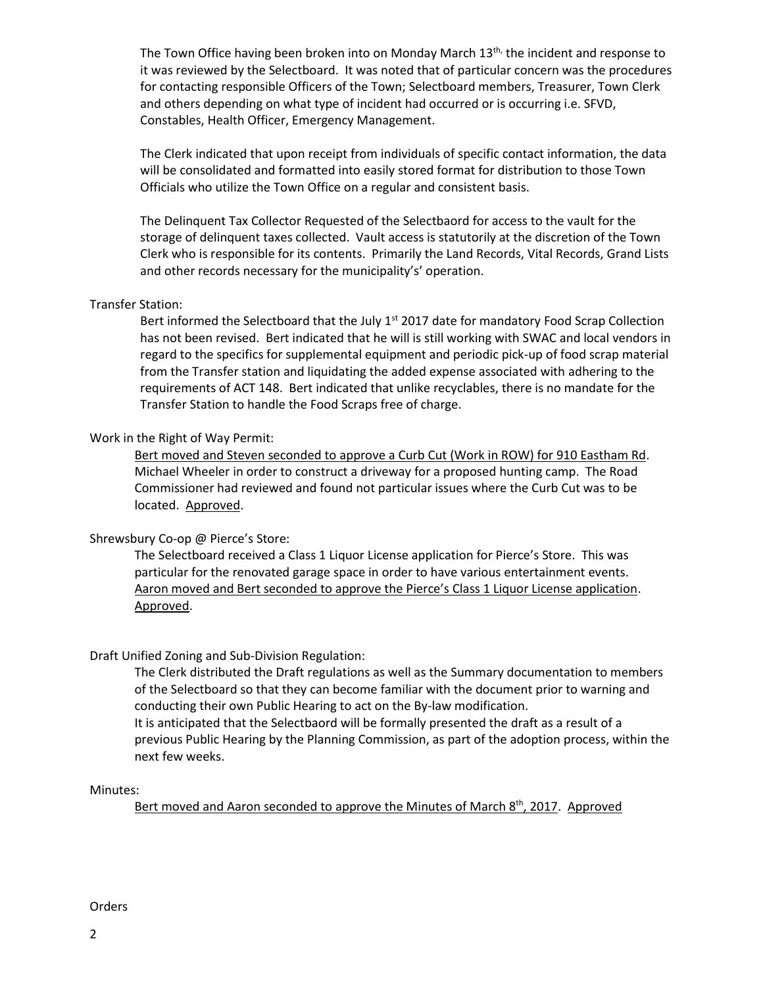The Town Office having been broken into on Monday March 13<sup>th,</sup> the incident and response to it was reviewed by the Selectboard. It was noted that of particular concern was the procedures for contacting responsible Officers of the Town; Selectboard members, Treasurer, Town Clerk and others depending on what type of incident had occurred or is occurring i.e. SFVD, Constables, Health Officer, Emergency Management.

The Clerk indicated that upon receipt from individuals of specific contact information, the data will be consolidated and formatted into easily stored format for distribution to those Town Officials who utilize the Town Office on a regular and consistent basis.

The Delinquent Tax Collector Requested of the Selectbaord for access to the vault for the storage of delinquent taxes collected. Vault access is statutorily at the discretion of the Town Clerk who is responsible for its contents. Primarily the Land Records, Vital Records, Grand Lists and other records necessary for the municipality's' operation.

### Transfer Station:

Bert informed the Selectboard that the July  $1<sup>st</sup>$  2017 date for mandatory Food Scrap Collection has not been revised. Bert indicated that he will is still working with SWAC and local vendors in regard to the specifics for supplemental equipment and periodic pick-up of food scrap material from the Transfer station and liquidating the added expense associated with adhering to the requirements of ACT 148. Bert indicated that unlike recyclables, there is no mandate for the Transfer Station to handle the Food Scraps free of charge.

### Work in the Right of Way Permit:

Bert moved and Steven seconded to approve a Curb Cut (Work in ROW) for 910 Eastham Rd. Michael Wheeler in order to construct a driveway for a proposed hunting camp. The Road Commissioner had reviewed and found not particular issues where the Curb Cut was to be located. Approved.

## Shrewsbury Co-op @ Pierce's Store:

The Selectboard received a Class 1 Liquor License application for Pierce's Store. This was particular for the renovated garage space in order to have various entertainment events. Aaron moved and Bert seconded to approve the Pierce's Class 1 Liquor License application. Approved.

#### Draft Unified Zoning and Sub-Division Regulation:

The Clerk distributed the Draft regulations as well as the Summary documentation to members of the Selectboard so that they can become familiar with the document prior to warning and conducting their own Public Hearing to act on the By-law modification. It is anticipated that the Selectbaord will be formally presented the draft as a result of a

previous Public Hearing by the Planning Commission, as part of the adoption process, within the next few weeks.

#### Minutes:

Bert moved and Aaron seconded to approve the Minutes of March  $8<sup>th</sup>$ , 2017. Approved

#### Orders